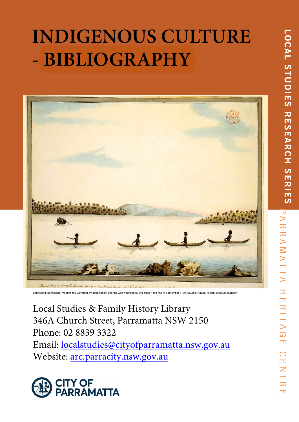# **INDIGENOUS CULTURE - BIBLIOGRAPHY**



Bannelang [Bennelong] meeting the Governor by appointment after he was wounded by Will [Nille?] ma ring in September 1790. Source: Natural History Museum (London)

Local Studies & Family History Library 346A Church Street, Parramatta NSW 2150 Phone: 02 8839 3322

Email: localstudies@cityofparramatta.nsw.gov.au Website: arc.parracity.nsw.gov.au

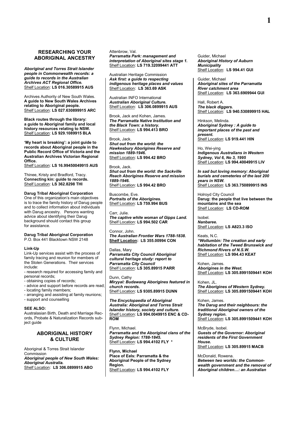# **RESEARCHING YOUR ABORIGINAL ANCESTRY**

*Aboriginal and Torres Strait Islander people in Commonwealth records: a guide to records in the Australian Archives ACT Regional Office.* Shelf Location: **LS 016.30589915 AUS**

Archives Authority of New South Wales. **A guide to New South Wales Archives relating to Aboriginal people.** Shelf Location: **LS 027.630899915 ARC**

**Black routes through the library: a guide to Aboriginal family and local history resources relating to NSW.** Shelf Location: **LS 929.1089915 BLA**

**'My heart is breaking': a joint guide to records about Aboriginal people in the Public Record Office of Victoria and the Australian Archives Victorian Regional Office.**

Shelf Location: **LS 16.99450049915 AUS**

Thinee, Kristy and Bradford, Tracy. **Connecting kin: guide to records.** Shelf Location: **LS 362.8298 THI**

# **Darug Tribal Aboriginal Corporation**

One of this organization's main objectives is to trace the family history of Darug people and to collect information about individuals with Darug ancestry. Persons wanting advice about identifying their Darug background should contact this group for assistance.

**Darug Tribal Aboriginal Corporation** P.O. Box 441 Blacktown NSW 2148

### **Link-Up**

Link-Up services assist with the process of family tracing and reunion for members of the Stolen Generations. Their services include:

- research required for accessing family and personal records;

- obtaining copies of records;
- advice and support before records are read;
- locating family members; - arranging and assisting at family reunions;
- support and counselling

### **SEE ALSO:**

Australasian Birth, Death and Marriage Records, Probate & Naturalization Records subject guide

## **ABORIGINAL HISTORY & CULTURE**

Aboriginal & Torres Strait Islander Commission *Aboriginal people of New South Wales: Aboriginal Australia.* Shelf Location: **LS 306.0899915 ABO**

Attenbrow, Val. *Parramatta Park: management and interpretation of Aboriginal sites stage 1.* Shelf Location: **LS 719.32099441 ATT**

Australian Heritage Commission *Ask first: a guide to respecting indigenous heritage places and values* Shelf Location: **LS 363.69 ASK**

Australian INFO International *Australian Aboriginal Culture.* Shelf Location: **LS 306.0899915 AUS**

Brook, Jack and Kohen, James. *The Parramatta Native Institution and the Black Town: a history.* Shelf Location: **LS 994.413 BRO**

# Brook, Jack.

*Shut out from the world: the Hawkesbury Aborigines Reserve and mission 1889-1946.* Shelf Location: **LS 994.42 BRO**

### Brook, Jack. *Shut out from the world: the Sackville Reach Aborigines Reserve and mission 1889-1946.* Shelf Location: **LS 994.42 BRO**

Buscombe, Eve. *Portraits of the Aborigines.* Shelf Location: **LS 759.994 BUS**

Carr, Julie. *The captive white woman of Gipps Land.* Shelf Location: **LS 994.502 CAR**

Connor, John. *The Australian Frontier Wars 1788-1838.* **Shelf Location: LS 355.00994 CON**

Dallas, Mary *Parramatta City Council Aboriginal cultural heritage study: report to Parramatta City Council* Shelf Location: **LS 305.89915 PARR**

Dunn, Cathy *Miryyal: Budawang Aborigines featured in church records.* Shelf Location: **LS 9305.89915 DUNN**

*The Encyclopaedia of Aboriginal Australia: Aboriginal and Torres Strait Islander history, society and culture.* Shelf Location: **LS 994.0049915 ENC & CD-ROM**

Flynn, Michael. *Parramatta and the Aboriginal clans of the Sydney Region: 1788-1845.* Shelf Location: **LS 994.4102 FLY \***

**Flynn, Michael Place of Eels: Parramatta & the Aboriginal People of the Sydney Region.**  Shelf Location: **LS 994.4102 FLY** 

Guider, Michael *Aboriginal History of Auburn Municipality* Shelf Location: **LS 994.41 GUI**

Guider, Michael *Aboriginal sites of the Parramatta River catchment area* Shelf Location: **LS 363.6909944 GUI**

Hall, Robert A. *The black diggers.* Shelf Location: **LS 940.530899915 HAL**

Hinkson, Melinda. *Aboriginal Sydney : A guide to important places of the past and present.* Shelf Location: **LS 919.441 HIN**

Ho, Wei-ying *Indigenous Australians in Western Sydney, Vol 6, No 3, 1995* Shelf Location: **LS 994.40049915 LIV**

*In sad but loving memory: Aboriginal burials and cemeteries of the last 200 years in NSW.* Shelf Location: **LS 363.750899915 INS**

Holroyd City Council **Darug: the people that live between the mountains and the sea** Shelf Location: **LS CD-ROM**

Isobel. *Nanbaree.* Shelf Location: **LS A823.3 ISO**

Keats, N.C. *"Wollumbin: The creation and early habitation of the Tweed Brunswick and Richmond Rivers of N.S.W.* Shelf Location: **LS 994.43 KEAT**

Kohen, James. *Aborigines in the West.* Shelf Location: **LS 305.8991509441 KOH** 

Kohen, JL. *The Aborigines of Western Sydney.* Shelf Location: **LS 305.8991509441 KOH**

Kohen, James. *The Darug and their neighbours: the traditional Aboriginal owners of the Sydney region***.** Shelf Location: **LS 305.8991509441 KOH**

McBryde, Isobel. *Guests of the Governor: Aboriginal residents of the First Government House.* Shelf Location: **LS 305.89915 MACB**

McDonald, Rowena. *Between two worlds: the Commonwealth government and the removal of Aboriginal children…: an Australian*